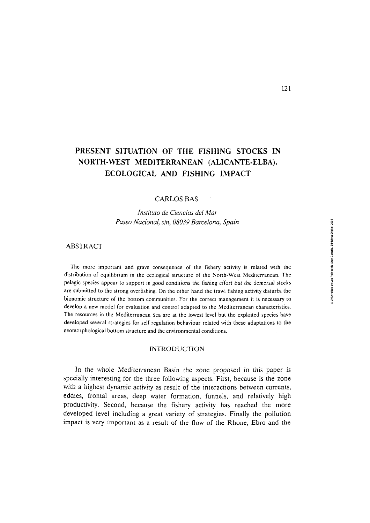# **PRESENT SITUATION OF THE FISHING STOCKS IN NORTH-WEST MEDITERRANEAN (ALICANTE-ELBA). ECOLOGICAL AND FISHING IMPACT**

#### CARLOS **BAS**

*Instituto de Ciencias del Mar Paseo Nacional, s/n, 080.39 Barcelona, Spain* 

# **ABSTRACT**

The more important and grave consequence of the fishery activity is related with the distribution of equilibrium in the ecological structure of the North-West Mediterranean. The pelagic species appear to support in good conditions the fishing effort but the demersal stock are submitted to the strong overfishing. On the other hand the trawl fishing activity disturbs the bionomic structure of the bottom communities. For the correct management it is necessary to develop a new model for evaluation and control adapted to the Mediterranean characteristics. The resources in the Mediterranean Sea are at the lowest level but the exploited species have developed several strategies for self regulation behaviour related with these adaptations to the geomorphological bottom structure and the environmental conditions.

#### **INTRODUCTION**

In the whole Mediterranean Basin the zone proposed in this paper is specially interesting for the three following aspects. First, because is the zone with a highest dynamic activity as result of the interactions between currents, eddies, frontal areas, deep water formation, funnels, and relatively high productivity. Second, because the fishery activity has reached the more developed level including a great variety of strategies. Finally the pollution impact is very important as a result of the flow of the Rhone, Ebro and the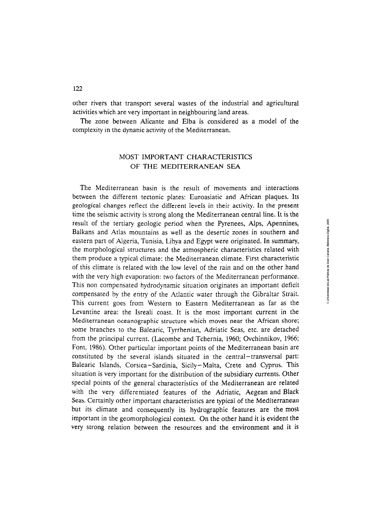other rivers that transport several wastes of the industrial and agricultural activities which are very important in neighbouring land areas.

The zone between Alicante and Elba is considered as a model of the complexity in the dynanic activity of the Mediterranean.

# MOST IMPORTANT CHARACTERISTICS OF THE MEDITERRANEAN SEA

The Mediterranean basin is the result of movements and interactions between the different tectonic plates: Euroasiatic and African plaques. Its geological changes reflect the different levels in their activity. In the present time the seismic activity is strong along the Mediterranean central line. It is the result of the tertiary geologic period when the Pyrenees, Alps, Apennines, Balkans and Atlas mountains as well as the desertic zones in southern and eastern part of Algeria, Tunisia, Libya and Egypt were originated. In summary, the morphological structures and the atmospheric characteristics related with them produce a typical climate; the Mediterranean climate. First characteristic of this climate is related with the low level of the rain and on the other hand with the very high evaporation: two factors of the Mediterranean performance. This non compensated hydrodynamic situation originates an important deficit compensated by the entry of the Atlantic water through the Gibraltar Strait. This current goes from Western to Eastern Mediterranean as far as the Levantine area: the Isreali coast. It is the most important current in the Mediterranean oceanographic structure which moves near the African shore; some branches to the Balearic, Tyrrhenian, Adriatic Seas, etc. are detached from the principal current. (Lacombe and Tchernia, 1960; Ovchinnikov, 1966; Font, 1986). Other particular important points of the Mediterranean basin are constituted by the several islands situated in the central-transversal part: Balearic Islands, Corsica-Sardinia, Sicily-Malta, Crete and Cyprus. This situation is very important for the distribution of the subsidiary currents. Other special points of the general characteristics of the Mediterranean are related with the very differentiated features of the Adriatic, Aegean and Black Seas. Certainly other important characteristics are typical of the Mediterranean but its climate and consequently its hydrographic features are the most important in the geomorphological context. On the other hand it is evident the very strong relation between the resources and the environment and it is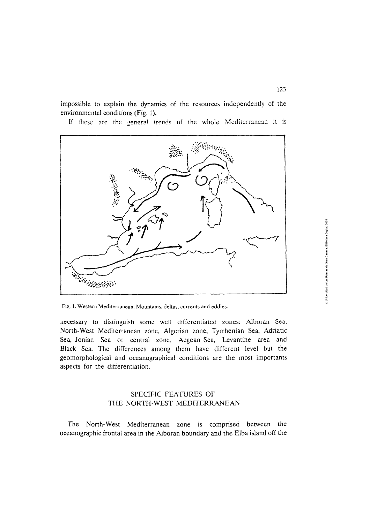impossible to explain the dynamics of the resources independently of the environmental conditions (Fig. 1).

If these are the general trends of the whole Mediterranean it is



Fig. 1. Wesiern Mediterranean. Mountains, deltas, currents and eddies.

necessary to distinguish some well differentiated zones: Alboran Sea, North-West Mediterranean zone, Algerian zone, Tyrrhenian Sea, Adriatic Sea, Jonian Sea or central zone, Aegean Sea, Levantine area and Black Sea. The differences among them have different level but the geomorphological and oceanographical conditions are the most importants aspects for the differentiation.

# SPECIFIC FEATURES OF THE NORTH-WEST MEDITERRANEAN

The North-West Mediterranean zone is comprised between the oceanographic frontal area in the Alboran boundary and the Elba island off the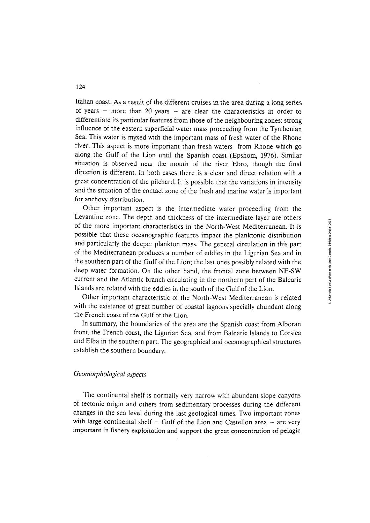Italian coast. **As** a result of the different cruises in the area during a long series of years  $-$  more than 20 years  $-$  are clear the characteristics in order to differentiate its particular features from those of the neighbouring zones: strong influence of the eastern superficial water mass proceeding from the Tyrrhenian Sea. This water is myxed with the important mass of fresh water of the Rhone river. This aspect is more important than fresh waters from Rhone which go along the Gulf of the Lion until the Spanish coast (Epshom, 1976). Similar situation is observed near the mouth of the river Ebro, though the final direction is different. In both cases there is a clear and direct relation with a great concentration of the pilchard. It is possible that the variations in intensity and the situation of the contact zone of the fresh and marine water is important for anchovy distribution.

Other important aspect is the intermediate water proceeding from the Levantine zone. The depth and thickness of the intermediate layer are others of the more important characteristics in the North-West Mediterranean. It is possible that these oceanographic features impact the planktonic distribution and particularly the deeper plankton mass. The general circulation in this part of the Mediterranean produces a number of eddies in the Ligurian Sea and in the southern part of the Gulf of the Lion; the last ones possibly related with the deep water formation. On the other hand, the frontal zone between NE-SW current and the Atlantic branch circulating in the northern part of the Balearic Islands are related with the eddies in the south of the Gulf of the Lion.

Other important characteristic of the North-West Mediterranean is related with the existence of great number of coastal lagoons specially abundant along the French coast of the Gulf of the Lion.

In summary, the boundaries of the area are the Spanish coast from Alboran front, the French coast, the Ligurian Sea, and from Balearic Islands to Corsica and Elba in the southern part. The geographical and oceanographical structures establish the southern boundary.

# Geomorphological aspects

whichter continental shelf is normally very narrow with abundant slope canyons the continental shelf is normally very narrow with abundant slope canyons of tectonic origin and others from sedimentary processes during the different changes in the sea level during the last geological times. Two important zones with large continental shelf  $-$  Gulf of the Lion and Castellon area  $-$  are very important in fishery exploitation and support the great concentration of pelagic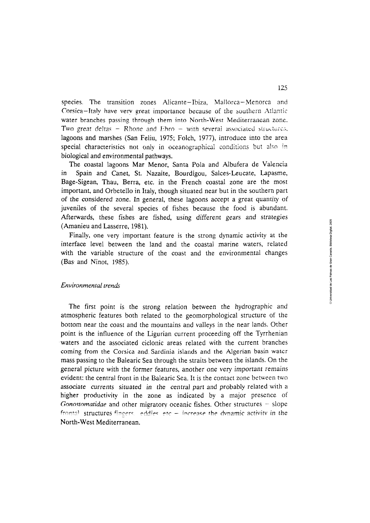species. The transition zones Alicante-Ibiza, Mallorca-Menorca and Corsica-Italy have very great importance because of the southern Atlantic water branches passing through them into North-West Mediterranean zone. Two great deltas  $-$  Rhone and Ebro  $-$  with several associated structures, lagoons and marshes (San Feliu, 1975; Folch, 1977), introduce into the area special characteristics not only in oceanographical conditions but also in biological and environmental pathways.

The coastal lagoons Mar Menor, Santa Pola and Albufera de Valencia Spain and Canet, St. Nazaite, Bourdigou, Salces-Leucate, Lapasme, in Bage-Sigean, Thau, Berra, etc. in the French coastal zone are the most important, and Orbetello in Italy, though situated near but in the southern part of the considered zone. In general, these lagoons accept a great quantity of juveniles of the several species of fishes because the food is abundant. Afterwards, these fishes are fished, using different gears and strategies (Amanieu and Lasserre, 1981).

Finally, one very important feature is the strong dynamic activity at the interface level between the land and the coastal marine waters, related with the variable structure of the coast and the environmental changes (Bas and Ninot, 1985).

#### Environmental trends

The first point is the strong relation between the hydrographic and atmospheric features both related to the geomorphological structure of the bottom near the coast and the mountains and valleys in the near lands. Other point is the influence of the Ligurian current proceeding off the Tyrrhenian waters and the associated ciclonic areas related with the current branches coming from the Corsica and Sardinia islands and the Algerian basin water mass passing to the Balearic Sea through the straits between the islands. On the general picture with the former features, another one very important remains evident; the central front in the Balearic Sea. It is the contact zone between two associate currents situated in the central part and probably related with a higher productivity in the zone as indicated by a major presence of Gonostomatidae and other migratory oceanic fishes. Other structures  $-$  slope frontal structures fingers, eddies etc  $-$  increase the dynamic activity in the North-West Mediterranean.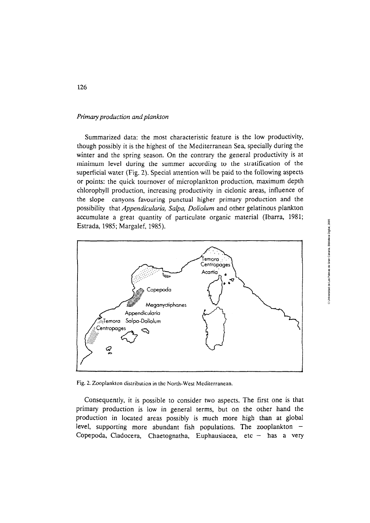# *Primary production and plankton*

Summarized data: the most characteristic feature is the low productivity, though possibly it is the highest of the Mediterranean Sea, specially during the winter and the spring season. On the contrary the general productivity is at minimum leve1 during the summer according to the stratification of the superficial water (Fig. 2). Special attention will be paid to the following aspects or points: the quick tournover of microplankton production, maximurn depth chlorophyll production, increasing productivity in ciclonic areas, influence of the slope canyons favouring punctual higher primary production and the possibility that *Appendicularia, Salpa, Doliolum* and other gelatinous plankton accumulate a great quantity of particulate organic material (Ibarra, 1981; Estrada, 1985; Margalef, 1985).



Fig. 2. Zooplankion distribuiion in the North-Wesi Mediterranean.

Consequently, it is posible to consider two aspects. The first one is that primary production is low in general terms, but on the other hand the production in located areas possibly is much more high than at global level, supporting more abundant fish populations. The zooplankton  $-$ Copepoda, Cladocera, Chaetognatha, Euphausiacea, etc  $-$  has a very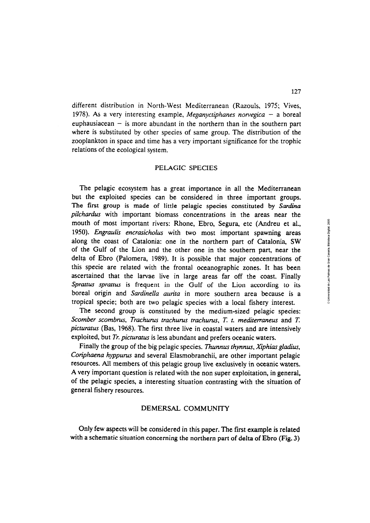different distribution in North-West Mediterranean (Razouls, **1975;** Vives, **1978). As** a very interesting example, *Meganyctiphanes norvegica* - a boreal euphausiacean  $-$  is more abundant in the northern than in the southern part where is substituted by other species of same group. The distribution of the zooplankton in space and time has a very important significance for the trophic relations of the ecological system.

# PELAGIC SPECIES

The pelagic ecosystem has a great importance in all the Mediterranean but the exploited species can be considered in three important groups. The first group is made of little pelagic species constituted by Sardina *pilchardus* with important biomass concentrations in the areas near the mouth of most important rivers: Rhone, Ebro, Segura, etc (Andreu et al., 1950). *Engraulis encrasicholus* with two most important spawning areas along the coast of Catalonia: one in the northern part of Catalonia, SW of the Gulf of the Lion and the other one in the southern part, near the delta of Ebro (Palomera, **1989).** It is possible that major concentrations of this specie are related with the frontal oceanographic zones. It has been ascertained that the larvae live in large areas far off the coast. Finally *Sprattus sprattus* is frequent in the Gulf of the Lion according to its boreal origin and *Sardinella aurita* in more southern area because is a tropical specie; both are two pelagic species with a local fishery interest.

The second group is constituted by the medium-sized pelagic species: *Scomber scombrus, Trachurus trachurus trachurus, T. t. mediterraneus and T. picturatus* (Bas, **1968).** The first three live in coastal waters and are intensively exploited, but *Tr. picturatus* is less abundant and prefers oceanic waters.

Finally the group of the big pelagic species. *Thunnus thynnus, Xiphias gladius, Conphaena hyppurus* and several Elasmobranchii, are other important pelagic resources. Aii members oí this **pelagic group live exclusively in oceanic waters. A** very important question is related with the non super exploitation, in general, of the pelagic species, a interesting situation contrasting with the situation of general fishery resources.

# DEMERSAL COMMUNITY

Only few aspects will be considered in this paper. The first exarnple **is** related with a schernatic situation concerning the northern part of delta of Ebro (Fig. **3)**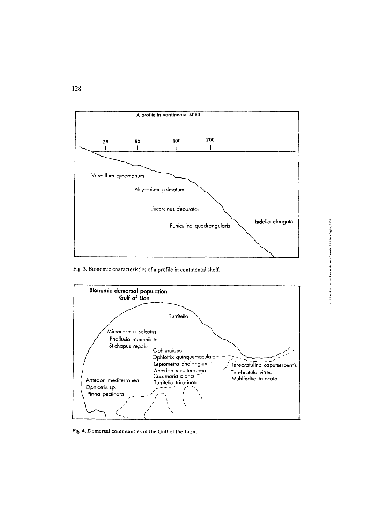

Fig. 3. Bionomic characteristics of a profile in continental shelf.



Fig. 4. Demersal communities of the Gulf of the Lion.

# © Universidad de Las Palmas de Gran Canaria. Biblioteca Digital, 2005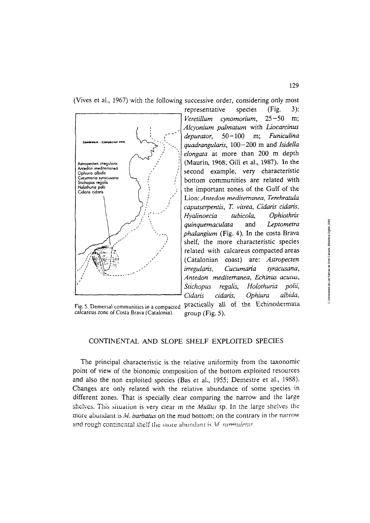(Vives et al., 1967) with the following successive order, considering only most



calcareus zone of Costa Brava (Catalonia).

representative species (Fig.  $3):$ cynomorium,  $25 - 50$ Veretillum m; Alcyonium palmatum with Liocarcinus  $50 - 100$ Funiculina depurator. m: quadrangularis, 100-200 m and Isidella elongata at more than 200 m depth (Maurin, 1968; Gili et al., 1987). In the second example, very characteristic bottom communities are related with the important zones of the Gulf of the Lion: Antedon mediterranea, Terebratula caputserpentis, T. vitrea, Cidaris cidaris, Hyalinoecia tubicola. Ophiothrix Leptometra quinquemaculata and phalangium (Fig. 4). In the costa Brava shelf, the more characteristic species related with calcareus compacted areas (Catalonian coast) are: Astropecten *irregularis*, Cucumaria syracusana, Antedon mediterranea, Echinus acutus, Stichopus regalis, Holothuria polii, Cidaris cidaris. Ophiura albida, Fig. 5. Demersal communities in a compacted practically all of the Echinodermata group (Fig.  $5$ ).

CONTINENTAL AND SLOPE SHELF EXPLOITED SPECIES

The principal characteristic is the relative uniformity from the taxonomic point of view of the bionomic composition of the bottom exploited resources and also the non exploited species (Bas et al., 1955; Demestre et al., 1988). Changes are only related with the relative abundance of some species in different zones. That is specially clear comparing the narrow and the large shelves. This situation is very clear in the Mullus sp. In the large shelves the more abundant is  $M$ . barbatus on the mud bottom; on the contrary in the narrow and rough continental shelf the more abundant is M. surmuletus.

129

© Universidad de Las Palmas de Gran Canaria. Biblioteca Digital, 2005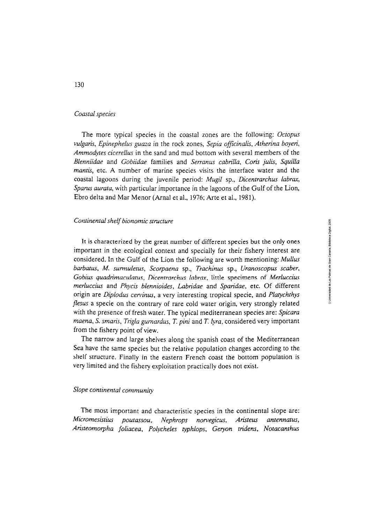# *Coastal species*

The more typical species in the coastal zones are the following: *Octopus vulgaris, Epinephelus guaza* in the rock zones, *Sepia officinalis, Atherina boyeri, Ammodytes cicerellus* in the sand and mud bottom with severa1 members of the *Blenniidae* and *Gobiidae* families and *Serranus cabrilla, Coris julis, Squilla mantis*, etc. A number of marine species visits the interface water and the coastal lagoons during the juvenile period: *Mugil* sp., *Dicentrarchus labrar, Sparus aurata,* with particular importance in the lagoons of the Gulf of the Lion, Ebro delta and Mar Menor (Arnal et al., 1976; Arte et al., 1981).

# *Continental shelf bionomic srructure*

It is characterized by the great number of different species but the only ones important in the ecological context and specially for their fishery interest are considered. In the Gulf of the Lion the following are worth mentioning: *Mullus barbatus,* M. *surmuletus, Scorpaena* sp., *Trachinus* sp., *Uranoscopus scaber, Gobius quadrimaculatw, Dicentrarchus labra,* little specimens o£ *Merluccius merluccius* and *Phycis blennioides, Labridae* and *Sparidae,* etc. Of different origin are *Diplodus cervinus*, a very interesting tropical specie, and *Platychthys flesus* a specie on the contrary of rare cold water origin, very strongly related with the presence of fresh water. The typical mediterranean species are: *Spicara maena, S. smaris, Trigla gurnardus, T. pini and T. <i>lyra*, considered very important from the fishery point of view.

The narrow and large shelves along the spanish coast of the Mediterranean Sea have the sarne species but the relative population changes according to the shelf structure. Finally in the eastern French coast the bottom population is very limited and the fishery exploitation practically does not exist.

#### *Slope continental community*

The most important and characteristic species in the continental slope are: *Micromesistius poutassou, Nephrops norvegicus, Aristeus antennatus,* Aristeomorpha foliacea, Polycheles typhlops, Geryon tridens, Notacanthus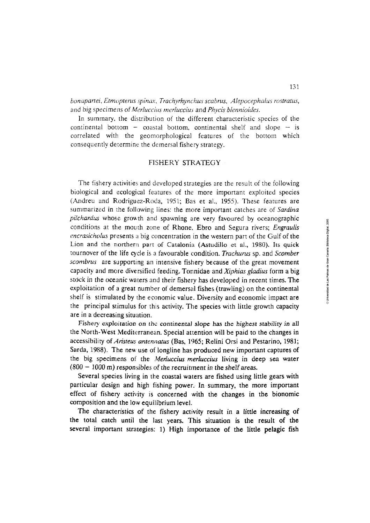bonapartei, Etmopterus spinax, Trachyrhynchus scabrus, Alepocephalus rostratus, and big specimens of *Merluccius merluccius* and *Phycis blennioides*.

In summary, the distribution of the different characteristic species of the continental bottom  $-$  coastal bottom, continental shelf and slope  $-$  is correlated with the geomorphological features of the bottom which consequently determine the demersal fishery strategy.

# FISHERY **STRATEGY**

The fishery activities and developed strategies are the result of the following biological and ecological features of the more important exploited species (Andreu and Rodriguez-Roda, 1951; Bas et al., 1955). These features are sumrnarized in the foilowing lines: the more important catches are of *Sardina pilchardus* whose growth and spawning are very favoured by oceanographic conditions at the mouth zone of Rhone. Ebro and Segura rivers; *Engraulis encrasicholus* presents a big concentration in the western part of the Gulf of the Lion and the northern part of Catalonia (Astudillo et al., 1980). Its quick tournover of the life cycle is a favourable condition. *Trachurus* sp. and *Scomber scombrus* are supporting an intensive fishery because of the great movement capacity and more diversified feeding. Tonnidae and *Xiphias gladius* form a big stock in the oceanic waters and their fishery has developed in recent times. The exploitation of a great number of demersal fishes (trawling) on the continental shelf is stimulated **by** the economic value. Diversity and economic impact are the principal stirnulus for this activity. The species with little growth capacity are in a decreasing situation.

Fishery exploitation on the continental slope has the highest stability in all the North-West Mediterranean. Special attention will be paid to the changes in accessibility of *Aristeus antennatus* (Bas, 1965; Relini Orsi and Pestarino, 1981; Sarda, 1988). The new use of longline has produced new important captures of the big specimens of the *MerIuccius merluccius* living in deep sea water (800 - 1000 m) responsibles of the recruitment in the shelf **areas.** 

Severai species living in the coastal waters are fished using little gears with particular design and high fishing power. In summary, the more important effect of fishery activity 1s concerned with the changes in the bionomic composition and the low equilibrium level.

The characteristics of the fishery activity result in a little increasing of the total catch until the last years. This situation is the result of the several important strategies: 1) High importance of the little pelagic fish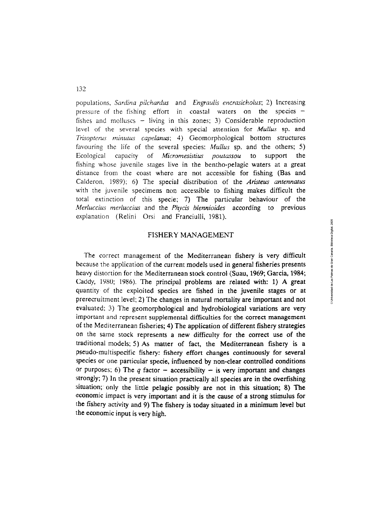populations, *Sardina pilchardus* and *Engraulis encrasicholus*; 2) Increasing pressure of the fishing effort in coastal waters on the species  $$ fishes and molluscs  $-$  living in this zones; 3) Considerable reproduction level of the several species with special attention for *Mullas* sp. and *Trisopterus rninutus capelanus; 4)* Geomorphological bottom structures favouring the life of the several species: *Mullus* sp. and the others; 5) Ecological capacity of *Micromesistius poutassou* to support the fishing whose juvenile stages live in the bentho-pelagic waters at a great distance from the coast where are not accessible for fishing (Bas and Calderon, 1989); 6) The special distribution of the *Aristeus antennatus* with the juvenile specimens non accessible to fishing makes difficult the total extinction of this specie; 7) The particular behaviour of the *Merluccius merluccius* and the *Phycis blennioides* according to previous explanation (Relini Orsi and Franciulli, 1981).

# FISHERY **MANAGEMENT**

The correct management of the Mediterranean fishery is very difficult because the application of the current models used in general fisheries presents heavy distortion for the Mediterranean stock control (Suau, 1969; Garcia, 1984; Caddy, 1980; 1986). The principal problems are related with: 1) A great quantity of the exploited species are fished in the juvenile stages or at prerecruitment level; 2) The changes in natural mortality are important and not evaluated; 3) The geornorphological and hydrobiological variations are very important and represent supplemental difficulties for the correct management of the Mediterranean fisheries; 4) The application of different fishery strategies on the same stock represents a new difficulty for the correct use of the traditional models; 5) **As** matter of fact, the Mediterranean fishery **is** a pseudo-multispecific fishery: fishery effort changes continuously for several species or one particular specie, infiuenced by non-clear controlled conditions or purposes; 6) The  $q$  factor - accessibility - is very important and changes strongly; 7) In the present situation practically al1 species are in the overfishing situation; only the little pelagic possibly are not in this situation; 8) The economic impact is very important and it is the cause of a strong stimulus for the fishery activity and 9) The fishery is today situated in a minimum level but the economic input is very high.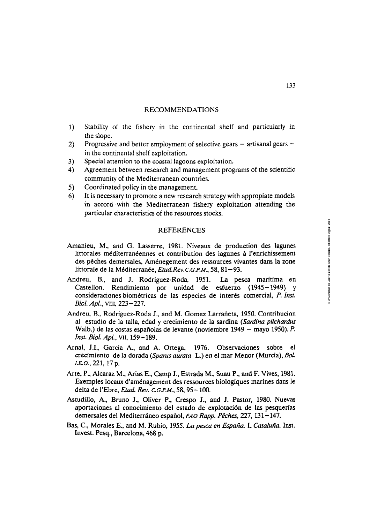# RECOMMENDATIONS

- Stability of the fishery in the continental shelf and particularly in  $1)$ the slope.
- Progressive and better employment of selective gears  $-$  artisanal gears  $2)$ in the continental shelf exploitation.
- $3)$ Special attention to the coastal lagoons exploitation.
- $4)$ Agreement between research and management programs of the scientific community of the Mediterranean countries.
- $5)$ Coordinated policy in the management.
- It is necessary to promote a new research strategy with appropiate models 6) in accord with the Mediterranean fishery exploitation attending the particular characteristics of the resources stocks.

#### **REFERENCES**

- Arnanieu, M., and G. Lasserre, 1981. Niveaux de production des lagunes littorales méditerranéennes et contribution des lagunes **A** l'enrichissement des pêches demersales, Aménegement des ressources vivantes dans la zone littorale de la Méditerranée, Etud Rev.C.G.P.M., 58, 81-93.
- Andreu, B., and J. Rodriguez-Roda, 1951. La pesca maritima en Castellon. Rendimiento por unidad de esfuerzo (1945-1949) y consideraciones biométricas de las especies de interés comercial, P. Inst. Biol. Apl., **VIii,** 223-227.
- Andreu, B., Rodriguez-Roda J., and M. Gomez Larrañeta, 1950. Contribucion al estudio de la talla, edad y crecimiento de la sardina *(Sardinu pilchardus*  Walb.) de las costas españolas de levante (noviembre 1949 - mayo 1950). P. *Inst. Biol. Apl., VII, 159-189.*
- Arnal, J.I., Garcia A., and A. Ortega, 1976. Observaciones sobre el crecimiento de ia dorada *(Spanxr aurata* **L.)** en ei mar Menor (Murciaj, **&i**  I.E.O., 221, 17 p.
- Arte, P., Alcaraz M., Arias E., Camp J., Estrada M., Suau P., and F. Vives, 1981. Exemples locaux d'aménagement des ressources biologiques marines dans le delta de l'Ebre, *Etud. Rev. C.G.P.M.*, 58, 95-100.
- Astudillo, A., Bmno J., Oliver P., Crespo J., and J. Pastor, 1980. Nuevas aportaciones al conocimiento del estado de explotación de las pesquerías demersales del Mediterráneo español, FAO Rapp. Pêches, 227, 131-147.
- Bas, C., Morales E., and M. Rubio, 1955. *La pesca en España*. I. Cataluña. Inst. Invest. Pesq., Barcelona, 468 p.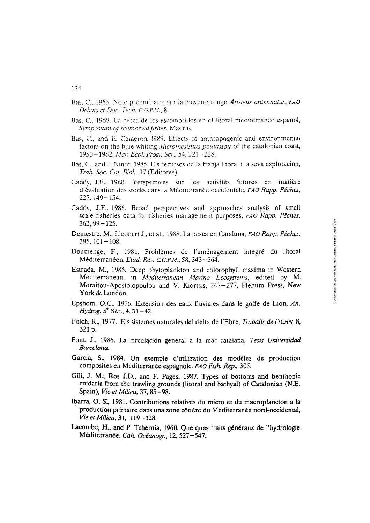- Bas, C., 1965. Note préliminaire sur la crevette rouge *Aristeus antennatus, FA0 Débats et Doc. Tech. C.G.P.M.*, 8.
- Bas, C., 1968. La pesca de los escómbridos en el litoral mediterráneo español, *Symposium of scombroid fishes, Madras.*
- Bas, C., and E. Calderon, 1989. Effects of anthropogenic and environmental factors on the blue whiting *Micromesistius poutassou* of the catalonian coast, 1950- 1982, *Mur. Ecol.* Progr. Ser., *54,* 221 -225.
- Bas, C., and J. Ninot, 1985. Els recursos de la franja litoral i la seva explotación, *Trab. Soc. Cat. Biol., 37* (Editores).
- Caddy, J.F., 1980. Perspectives sur les activités futures en matière d'évaluation des stocks dans la Méditerranée occidentale, *FAO Rapp. Pêches*, *227: 139-* 154.
- Caddy, J.F.. 1986. Broad perspectives and approaches analysis of small scale fisheries data for fisheries management purposes, *FAO Rapp. Pêches*, 362,99-175.
- Demestre, M., Lleonart J., et al.. 1988. La pesca en Cataluña, FA0 *Rapp. Péches,*   $395, 101 - 108.$
- Doumenge, F., 1981. Problèmes de l'aménagement integré du litoral Méditerranéen, Etud. *Rev. C.G.P.M., 58,* 343-361.
- Estrada, M., 1985. Deep phytoplankton and chlorophyll maxima in Western Mediterranean, in *Medirerrancan Man'ne Ecosystems,* edited by *M.*  Moraitou-Apostolopoulou and V. Kiortsis, 247-277, Plenum Press, New York & London.
- Epshom, O.C., 1976. Extension des eaw fluviales dans le golfe de Lion, An. *Hydrog.* **5'** Ser., 4, **3** 1 **-42.**
- Folch, R., 1977. Els sistemes naturales del delta de l'Ebre, *Traballs de l'ICHN*, 8, 321 p.
- Font, J., 1986. La circulación general a la mar catalana, Tesis Universidad  $Barcelona.$
- Garcia, S., 1984. Un exemple d'utilization des modèles de production composites en Méditerranée espagnole. *FAO Fish. Rep.*, 305.
- Gili, J. M.; Ros J.D., and F. Pages, 1987. Types of bottoms and benthonic cnidaria from the trawling grounds (litoral and bathyal) of Catalonian (N.E. Spain ), *Vie* et Milieu, 37,85 - **98.**
- Ibarra, *O.* **S:,** 1981. Contributions relatives du rnicro et du macroplancton a **la**  production primaire dans una zone cótiere du Méditerranée nord-occidental, **Vie** *et* Milieu, **3** 1, 1 19- 128.
- Lacombe; H., and P. Tchernia, 1960. Quelques traits généraux de I'hydrologie Méditerranée, Cah. *Océanogr.,* 12,527-547.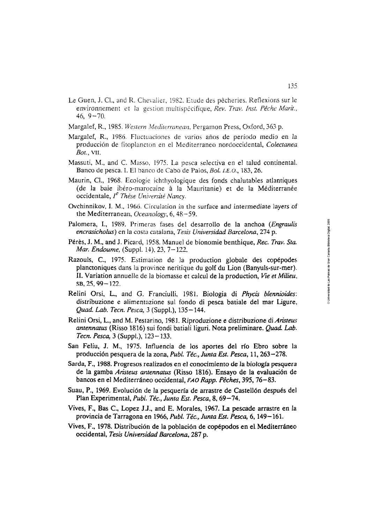- Le Guen, J. Cl., and R. Chevalier, 1982. Etude des pêcheries. Reflexions sur le environnement et la gestion multispécifique, *Rev. Trav. Inst. Pêche Marit.*, 46,  $9 - 70$ .
- Margalef, R., 1985. *Western Mediterranean*, Pergamon Press, Oxford, 363 p.
- Margalef, R., 1986. Fluctuaciones de varios años de periodo medio en la producción de fitoplancton en el Mediterraneo nordoccidental, Colectaneu *Bot.,* **VIL**
- Massuti, M., and C. Masso, 1975. La pesca selectiva en el talud continental. Banco de pesca. 1. El banco de Cabo de Palos, Bol. *I.E.O.,* 183,26.
- Maurin, Cl., 1968. Ecologie ichthyologique des fonds chalutables atlantiques (de la baie ibéro-marocaine **A** la Maiiritanie) et de la Méditerranée occidentale, *l<sup>e</sup> Thèse Université Nancy*.
- Ovchinnikov, I. M., 1966. Circulation in the surface and intermediate layers of the Mediterranean, *Oceanology*, 6, 48-59.
- Palomera, I., 1989. Primeras fases del desarrollo de la anchoa (Engraulis encrasicholus) en la costa catalana, Tesis **Universidad** Barcelona, 274 p.
- Pérès, J. M., and J. Picard, 1958. Manuel de bionomie benthique, Rec. Trav. Sta. Mar. Endoume, (Suppl. 14), 23, 7-122.
- Razouls, C., 1975. Estimation de la production globale des copépodes planctoniques dans la province neritique du golf du Lion (Banyuls-sur-mer). 11. Variation annuelle de la biornasse et calcul de la production, Vie et Milieu, SB, 25,99- 122.
- Relini Orsi, L., and G. Franciulli, 1981. Biologia di *Phycis blennioides*: distribuzione e alimentazione sul fondo di pesca batiale del mar Ligure, Quad. Lab. Tecn. Pesca, 3 (Suppl.), 135- 144.
- Relini Orsi, L., and M. Pestarino, 1981. Riproduzione e distribuzione di **Arkteus**  antennatus (Risso 1816) sui fondi batiali liguri. Nota preliminare. Quad. Lab. Tecn. *Pesca,* 3 (Suppl.), 123- 133.
- San Feliu, J. M., 1975. Influencia de los aportes del río Ebro sobre la producción pesquera de la zona, *Publ.* Téc., Junta Est. Pesca, 11,263-278.
- Sarda, F., **1988.** Progresos reaiizados en **ei** conocimiento de ia bioiogía **pesquera**  de la gamba Aristeus antennatus (Risso 1816). Ensayo de la evaluación de bancos en el Mediterraneo occidental, **FAO** Rapp. Pécher, 395,76-83.
- Suau, P., 1969. Evolución de la pesquería de arrastre de Castellón después del Plan Experimental, Publ. Téc., Junta Est. Pesca, 8, 69-74.
- Vives, F., Bas C., Lopez J.J., and E. Morales, 1967. La pescade arrastre en la provincia de Tarragona en 1966, Publ. Téc., Junta ESt. Pesca, 6, 149- 161.
- Vives, F., 1978. Distribución de la población de copépodos en el. Mediterráneo occidental, Tesis Universidad Barcelona, **287** p.